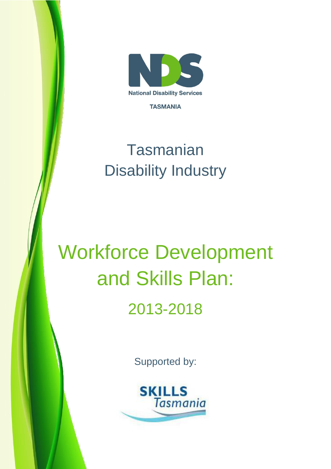

**TASMANIA** 

# **Tasmanian** Disability Industry

# Workforce Development and Skills Plan: 2013-2018

Supported by:

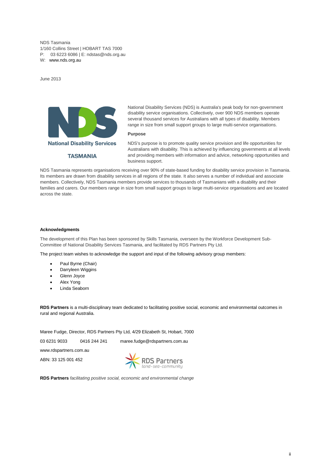NDS Tasmania 1/160 Collins Street | HOBART TAS 7000 P: 03 6223 6086 | E: [ndstas@nds.org.au](mailto:ndstas@nds.org.au) W: [www.nds.org.au](http://www.nds.org.au/)

June 2013



National Disability Services (NDS) is Australia's peak body for non-government disability service organisations. Collectively, over 900 NDS members operate several thousand services for Australians with all types of disability. Members range in size from small support groups to large multi-service organisations.

#### **Purpose**

NDS's purpose is to promote quality service provision and life opportunities for Australians with disability. This is achieved by influencing governments at all levels and providing members with information and advice, networking opportunities and business support.

NDS Tasmania represents organisations receiving over 90% of state-based funding for disability service provision in Tasmania. Its members are drawn from disability services in all regions of the state. It also serves a number of individual and associate members. Collectively, NDS Tasmania members provide services to thousands of Tasmanians with a disability and their families and carers. Our members range in size from small support groups to large multi-service organisations and are located across the state.

#### **Acknowledgments**

The development of this Plan has been sponsored by Skills Tasmania, overseen by the Workforce Development Sub-Committee of National Disability Services Tasmania, and facilitated by RDS Partners Pty Ltd.

The project team wishes to acknowledge the support and input of the following advisory group members:

- Paul Byrne (Chair)
- Darryleen Wiggins
- Glenn Joyce
- Alex Yong
- Linda Seaborn

**RDS Partners** is a multi-disciplinary team dedicated to facilitating positive social, economic and environmental outcomes in rural and regional Australia.

Maree Fudge, Director, RDS Partners Pty Ltd, 4/29 Elizabeth St, Hobart, 7000

03 6231 9033 0416 244 241 maree.fudge@rdspartners.com.au

www.rdspartners.com.au

ABN: 33 125 001 452



**RDS Partners** *facilitating positive social, economic and environmental change*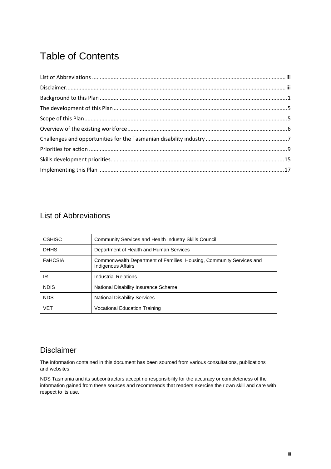# Table of Contents

# <span id="page-2-0"></span>List of Abbreviations

| <b>CSHISC</b> | Community Services and Health Industry Skills Council                                      |
|---------------|--------------------------------------------------------------------------------------------|
| <b>DHHS</b>   | Department of Health and Human Services                                                    |
| FaHCSIA       | Commonwealth Department of Families, Housing, Community Services and<br>Indigenous Affairs |
| IR.           | Industrial Relations                                                                       |
| <b>NDIS</b>   | National Disability Insurance Scheme                                                       |
| <b>NDS</b>    | <b>National Disability Services</b>                                                        |
| VFT           | <b>Vocational Education Training</b>                                                       |

# <span id="page-2-1"></span>Disclaimer

The information contained in this document has been sourced from various consultations, publications and websites.

NDS Tasmania and its subcontractors accept no responsibility for the accuracy or completeness of the information gained from these sources and recommends that readers exercise their own skill and care with respect to its use.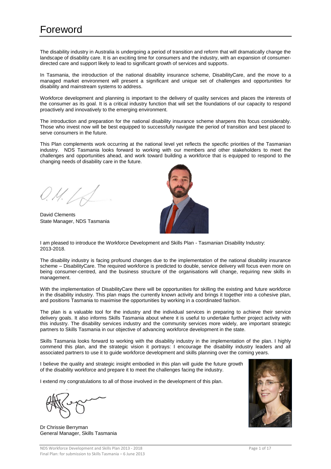# <span id="page-3-0"></span>Foreword

The disability industry in Australia is undergoing a period of transition and reform that will dramatically change the landscape of disability care. It is an exciting time for consumers and the industry, with an expansion of consumerdirected care and support likely to lead to significant growth of services and supports.

In Tasmania, the introduction of the national disability insurance scheme, DisabilityCare, and the move to a managed market environment will present a significant and unique set of challenges and opportunities for disability and mainstream systems to address.

Workforce development and planning is important to the delivery of quality services and places the interests of the consumer as its goal. It is a critical industry function that will set the foundations of our capacity to respond proactively and innovatively to the emerging environment.

The introduction and preparation for the national disability insurance scheme sharpens this focus considerably. Those who invest now will be best equipped to successfully navigate the period of transition and best placed to serve consumers in the future.

This Plan complements work occurring at the national level yet reflects the specific priorities of the Tasmanian industry. NDS Tasmania looks forward to working with our members and other stakeholders to meet the challenges and opportunities ahead, and work toward building a workforce that is equipped to respond to the changing needs of disability care in the future.

David Clements State Manager, NDS Tasmania



I am pleased to introduce the Workforce Development and Skills Plan - Tasmanian Disability Industry: 2013-2018.

The disability industry is facing profound changes due to the implementation of the national disability insurance scheme – DisabilityCare. The required workforce is predicted to double, service delivery will focus even more on being consumer-centred, and the business structure of the organisations will change, requiring new skills in management.

With the implementation of DisabilityCare there will be opportunities for skilling the existing and future workforce in the disability industry. This plan maps the currently known activity and brings it together into a cohesive plan, and positions Tasmania to maximise the opportunities by working in a coordinated fashion.

The plan is a valuable tool for the industry and the individual services in preparing to achieve their service delivery goals. It also informs Skills Tasmania about where it is useful to undertake further project activity with this industry. The disability services industry and the community services more widely, are important strategic partners to Skills Tasmania in our objective of advancing workforce development in the state.

Skills Tasmania looks forward to working with the disability industry in the implementation of the plan. I highly commend this plan, and the strategic vision it portrays: I encourage the disability industry leaders and all associated partners to use it to guide workforce development and skills planning over the coming years.

I believe the quality and strategic insight embodied in this plan will guide the future growth of the disability workforce and prepare it to meet the challenges facing the industry.

I extend my congratulations to all of those involved in the development of this plan.

Dr Chrissie Berryman General Manager, Skills Tasmania

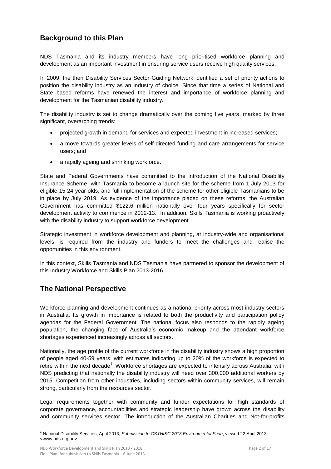# **Background to this Plan**

NDS Tasmania and its industry members have long prioritised workforce planning and development as an important investment in ensuring service users receive high quality services.

In 2009, the then Disability Services Sector Guiding Network identified a set of priority actions to position the disability industry as an industry of choice. Since that time a series of National and State based reforms have renewed the interest and importance of workforce planning and development for the Tasmanian disability industry.

The disability industry is set to change dramatically over the coming five years, marked by three significant, overarching trends:

- projected growth in demand for services and expected investment in increased services;
- a move towards greater levels of self-directed funding and care arrangements for service users; and
- a rapidly ageing and shrinking workforce.

State and Federal Governments have committed to the introduction of the National Disability Insurance Scheme, with Tasmania to become a launch site for the scheme from 1 July 2013 for eligible 15-24 year olds, and full implementation of the scheme for other eligible Tasmanians to be in place by July 2019. As evidence of the importance placed on these reforms, the Australian Government has committed \$122.6 million nationally over four years specifically for sector development activity to commence in 2012-13. In addition, Skills Tasmania is working proactively with the disability industry to support workforce development.

Strategic investment in workforce development and planning, at industry-wide and organisational levels, is required from the industry and funders to meet the challenges and realise the opportunities in this environment.

In this context, Skills Tasmania and NDS Tasmania have partnered to sponsor the development of this Industry Workforce and Skills Plan 2013-2016.

# **The National Perspective**

Workforce planning and development continues as a national priority across most industry sectors in Australia. Its growth in importance is related to both the productivity and participation policy agendas for the Federal Government. The national focus also responds to the rapidly ageing population, the changing face of Australia's economic makeup and the attendant workforce shortages experienced increasingly across all sectors.

Nationally, the age profile of the current workforce in the disability industry shows a high proportion of people aged 40-59 years, with estimates indicating up to 20% of the workforce is expected to retire within the next decade<sup>1</sup>. Workforce shortages are expected to intensify across Australia, with NDS predicting that nationally the disability industry will need over 300,000 additional workers by 2015. Competition from other industries, including sectors within community services, will remain strong, particularly from the resources sector.

Legal requirements together with community and funder expectations for high standards of corporate governance, accountabilities and strategic leadership have grown across the disability and community services sector. The introduction of the Australian Charities and Not-for-profits

NDS Workforce Development and Skills Plan 2013 - 2018 Page 2 of 17 Final Plan: for submission to Skills Tasmania – 6 June 2013

 $\overline{a}$ <sup>1</sup> National Disability Services, April 2013, *Submission to CS&HISC 2013 Environmental Scan*, viewed 22 April 2013, <www.nds.org.au>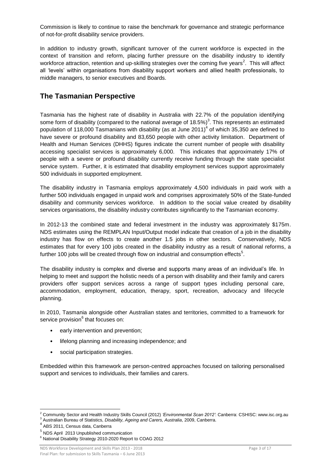Commission is likely to continue to raise the benchmark for governance and strategic performance of not-for-profit disability service providers.

In addition to industry growth, significant turnover of the current workforce is expected in the context of transition and reform, placing further pressure on the disability industry to identify workforce attraction, retention and up-skilling strategies over the coming five years<sup>2</sup>. This will affect all 'levels' within organisations from disability support workers and allied health professionals, to middle managers, to senior executives and Boards.

## **The Tasmanian Perspective**

Tasmania has the highest rate of disability in Australia with 22.7% of the population identifying some form of disability (compared to the national average of 18.5%)<sup>3</sup>. This represents an estimated population of 118,000 Tasmanians with disability (as at June 2011)<sup>4</sup> of which 35,350 are defined to have severe or profound disability and 83,650 people with other activity limitation. Department of Health and Human Services (DHHS) figures indicate the current number of people with disability accessing specialist services is approximately 6,000. This indicates that approximately 17% of people with a severe or profound disability currently receive funding through the state specialist service system. Further, it is estimated that disability employment services support approximately 500 individuals in supported employment.

The disability industry in Tasmania employs approximately 4,500 individuals in paid work with a further 500 individuals engaged in unpaid work and comprises approximately 50% of the State-funded disability and community services workforce. In addition to the social value created by disability services organisations, the disability industry contributes significantly to the Tasmanian economy.

In 2012-13 the combined state and federal investment in the industry was approximately \$175m. NDS estimates using the REMPLAN Input/Output model indicate that creation of a job in the disability industry has flow on effects to create another 1.5 jobs in other sectors. Conservatively, NDS estimates that for every 100 jobs created in the disability industry as a result of national reforms, a further 100 jobs will be created through flow on industrial and consumption effects<sup>5</sup>.

The disability industry is complex and diverse and supports many areas of an individual's life. In helping to meet and support the holistic needs of a person with disability and their family and carers providers offer support services across a range of support types including personal care, accommodation, employment, education, therapy, sport, recreation, advocacy and lifecycle planning.

In 2010, Tasmania alongside other Australian states and territories, committed to a framework for service provision<sup>6</sup> that focuses on:

- early intervention and prevention;
- lifelong planning and increasing independence; and
- social participation strategies.

Embedded within this framework are person-centred approaches focused on tailoring personalised support and services to individuals, their families and carers.

 $\overline{a}$ <sup>2</sup> Community Sector and Health Industry Skills Council (2012) *'Environmental Scan 2012'*: Canberra: CSHISC: www.isc.org.au <sup>3</sup> Australian Bureau of Statistics, *Disability, Ageing and Carers, Australia*, 2009, Canberra.

<sup>4</sup> ABS 2011, Census data, Canberra

<sup>5</sup> NDS April 2013 Unpublished communication

<sup>6</sup> National Disability Strategy 2010-2020 Report to COAG 2012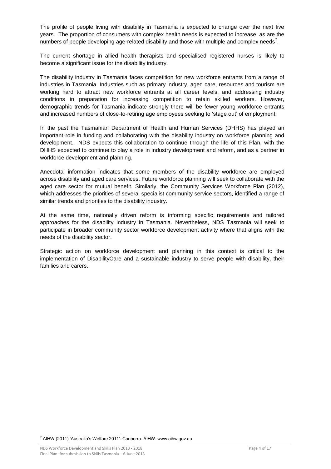The profile of people living with disability in Tasmania is expected to change over the next five years. The proportion of consumers with complex health needs is expected to increase, as are the numbers of people developing age-related disability and those with multiple and complex needs<sup>7</sup>.

The current shortage in allied health therapists and specialised registered nurses is likely to become a significant issue for the disability industry.

The disability industry in Tasmania faces competition for new workforce entrants from a range of industries in Tasmania. Industries such as primary industry, aged care, resources and tourism are working hard to attract new workforce entrants at all career levels, and addressing industry conditions in preparation for increasing competition to retain skilled workers. However, demographic trends for Tasmania indicate strongly there will be fewer young workforce entrants and increased numbers of close-to-retiring age employees seeking to 'stage out' of employment.

In the past the Tasmanian Department of Health and Human Services (DHHS) has played an important role in funding and collaborating with the disability industry on workforce planning and development. NDS expects this collaboration to continue through the life of this Plan, with the DHHS expected to continue to play a role in industry development and reform, and as a partner in workforce development and planning.

Anecdotal information indicates that some members of the disability workforce are employed across disability and aged care services. Future workforce planning will seek to collaborate with the aged care sector for mutual benefit. Similarly, the Community Services Workforce Plan (2012), which addresses the priorities of several specialist community service sectors, identified a range of similar trends and priorities to the disability industry.

At the same time, nationally driven reform is informing specific requirements and tailored approaches for the disability industry in Tasmania. Nevertheless, NDS Tasmania will seek to participate in broader community sector workforce development activity where that aligns with the needs of the disability sector.

Strategic action on workforce development and planning in this context is critical to the implementation of DisabilityCare and a sustainable industry to serve people with disability, their families and carers.

 $\overline{a}$  $7$  AIHW (2011) 'Australia's Welfare 2011': Canberra: AIHW: www.aihw.gov.au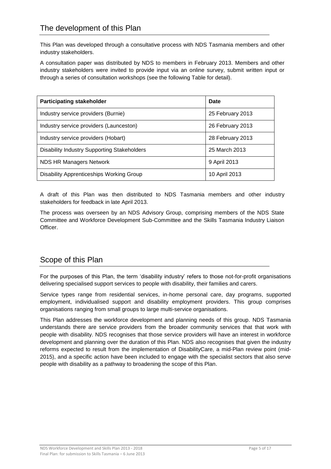<span id="page-7-0"></span>This Plan was developed through a consultative process with NDS Tasmania members and other industry stakeholders.

A consultation paper was distributed by NDS to members in February 2013. Members and other industry stakeholders were invited to provide input via an online survey, submit written input or through a series of consultation workshops (see the following Table for detail).

| <b>Participating stakeholder</b>                   | Date             |
|----------------------------------------------------|------------------|
| Industry service providers (Burnie)                | 25 February 2013 |
| Industry service providers (Launceston)            | 26 February 2013 |
| Industry service providers (Hobart)                | 28 February 2013 |
| <b>Disability Industry Supporting Stakeholders</b> | 25 March 2013    |
| <b>NDS HR Managers Network</b>                     | 9 April 2013     |
| Disability Apprenticeships Working Group           | 10 April 2013    |

A draft of this Plan was then distributed to NDS Tasmania members and other industry stakeholders for feedback in late April 2013.

The process was overseen by an NDS Advisory Group, comprising members of the NDS State Committee and Workforce Development Sub-Committee and the Skills Tasmania Industry Liaison Officer.

# <span id="page-7-1"></span>Scope of this Plan

For the purposes of this Plan, the term 'disability industry' refers to those not-for-profit organisations delivering specialised support services to people with disability, their families and carers.

Service types range from residential services, in-home personal care, day programs, supported employment, individualised support and disability employment providers. This group comprises organisations ranging from small groups to large multi-service organisations.

This Plan addresses the workforce development and planning needs of this group. NDS Tasmania understands there are service providers from the broader community services that that work with people with disability. NDS recognises that those service providers will have an interest in workforce development and planning over the duration of this Plan. NDS also recognises that given the industry reforms expected to result from the implementation of DisabilityCare, a mid-Plan review point (mid-2015), and a specific action have been included to engage with the specialist sectors that also serve people with disability as a pathway to broadening the scope of this Plan.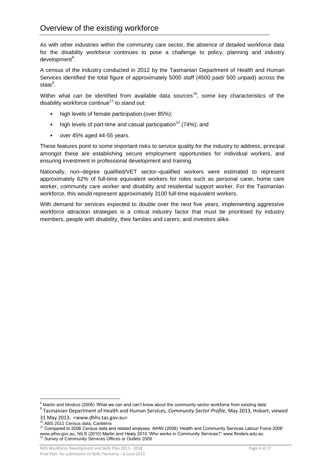<span id="page-8-0"></span>As with other industries within the community care sector, the absence of detailed workforce data for the disability workforce continues to pose a challenge to policy, planning and industry development<sup>8</sup>.

A census of the industry conducted in 2012 by the Tasmanian Department of Health and Human Services identified the total figure of approximately 5000 staff (4500 paid/ 500 unpaid) across the state<sup>9</sup>.

Within what can be identified from available data sources<sup>10</sup>, some key characteristics of the disability workforce continue<sup>11</sup> to stand out:

- high levels of female participation (over 85%);
- high levels of part-time and casual participation<sup>12</sup> (74%); and
- over 45% aged 44-55 years.

These features point to some important risks to service quality for the industry to address, principal amongst these are establishing secure employment opportunities for individual workers, and ensuring investment in professional development and training.

Nationally, non–degree qualified/VET sector–qualified workers were estimated to represent approximately 62% of full-time equivalent workers for roles such as personal carer, home care worker, community care worker and disability and residential support worker. For the Tasmanian workforce, this would represent approximately 3100 full-time equivalent workers.

With demand for services expected to double over the next five years, implementing aggressive workforce attraction strategies is a critical industry factor that must be prioritised by industry members, people with disability, their families and carers, and investors alike.

 $\overline{a}$ <sup>8</sup> Martin and Moskos (2006) 'What we can and can't know about the community sector workforce from existing data' 9 Tasmanian Department of Health and Human Services, *Community Sector Profile*, May 2013, Hobart, viewed

<sup>31</sup> May 2013, <www.dhhs.tas.gov.au>

<sup>10</sup> ABS 2011 Census data, Canberra

<sup>11</sup> Compared to 2006 Census data and related analyses: AIHW (2006) 'Health and Community Services Labour Force 2006' www.aihw.gov.au; NILS (2010) Martin and Healy 2010 'Who works in Community Services?" www.flinders.edu.au<br><sup>12</sup> Survey of Community Services Offices or Outlets 2009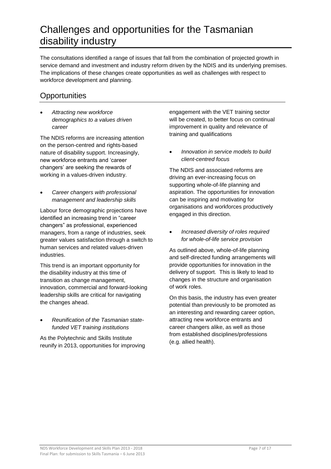# <span id="page-9-0"></span>Challenges and opportunities for the Tasmanian disability industry

The consultations identified a range of issues that fall from the combination of projected growth in service demand and investment and industry reform driven by the NDIS and its underlying premises. The implications of these changes create opportunities as well as challenges with respect to workforce development and planning.

# **Opportunities**

 *Attracting new workforce demographics to a values driven career*

The NDIS reforms are increasing attention on the person-centred and rights-based nature of disability support. Increasingly, new workforce entrants and 'career changers' are seeking the rewards of working in a values-driven industry.

 *Career changers with professional management and leadership skills*

Labour force demographic projections have identified an increasing trend in "career changers" as professional, experienced managers, from a range of industries, seek greater values satisfaction through a switch to human services and related values-driven industries.

This trend is an important opportunity for the disability industry at this time of transition as change management, innovation, commercial and forward-looking leadership skills are critical for navigating the changes ahead.

 *Reunification of the Tasmanian statefunded VET training institutions* 

As the Polytechnic and Skills Institute reunify in 2013, opportunities for improving engagement with the VET training sector will be created, to better focus on continual improvement in quality and relevance of training and qualifications

 *Innovation in service models to build client-centred focus*

The NDIS and associated reforms are driving an ever-increasing focus on supporting whole-of-life planning and aspiration. The opportunities for innovation can be inspiring and motivating for organisations and workforces productively engaged in this direction.

 *Increased diversity of roles required for whole-of-life service provision* 

As outlined above, whole-of-life planning and self-directed funding arrangements will provide opportunities for innovation in the delivery of support. This is likely to lead to changes in the structure and organisation of work roles.

On this basis, the industry has even greater potential than previously to be promoted as an interesting and rewarding career option, attracting new workforce entrants and career changers alike, as well as those from established disciplines/professions (e.g. allied health).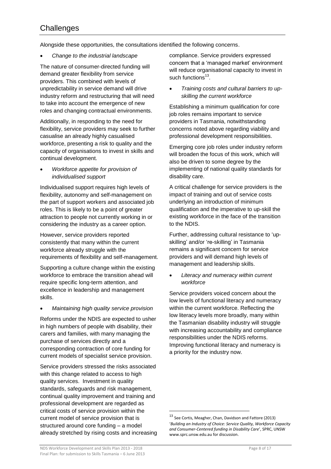# **Challenges**

Alongside these opportunities, the consultations identified the following concerns.

*Change to the industrial landscape*

The nature of consumer-directed funding will demand greater flexibility from service providers. This combined with levels of unpredictability in service demand will drive industry reform and restructuring that will need to take into account the emergence of new roles and changing contractual environments.

Additionally, in responding to the need for flexibility, service providers may seek to further casualise an already highly casualised workforce, presenting a risk to quality and the capacity of organisations to invest in skills and continual development.

 *Workforce appetite for provision of individualised support*

Individualised support requires high levels of flexibility, autonomy and self-management on the part of support workers and associated job roles. This is likely to be a point of greater attraction to people not currently working in or considering the industry as a career option.

However, service providers reported consistently that many within the current workforce already struggle with the requirements of flexibility and self-management.

Supporting a culture change within the existing workforce to embrace the transition ahead will require specific long-term attention, and excellence in leadership and management skills.

*Maintaining high quality service provision*

Reforms under the NDIS are expected to usher in high numbers of people with disability, their carers and families, with many managing the purchase of services directly and a corresponding contraction of core funding for current models of specialist service provision.

Service providers stressed the risks associated with this change related to access to high quality services. Investment in quality standards, safeguards and risk management, continual quality improvement and training and professional development are regarded as critical costs of service provision within the current model of service provision that is structured around core funding – a model already stretched by rising costs and increasing

compliance. Service providers expressed concern that a 'managed market' environment will reduce organisational capacity to invest in such functions<sup>13</sup>.

 *Training costs and cultural barriers to upskilling the current workforce*

Establishing a minimum qualification for core job roles remains important to service providers in Tasmania, notwithstanding concerns noted above regarding viability and professional development responsibilities.

Emerging core job roles under industry reform will broaden the focus of this work, which will also be driven to some degree by the implementing of national quality standards for disability care.

A critical challenge for service providers is the impact of training and out of service costs underlying an introduction of minimum qualification and the imperative to up-skill the existing workforce in the face of the transition to the NDIS.

Further, addressing cultural resistance to 'upskilling' and/or 're-skilling' in Tasmania remains a significant concern for service providers and will demand high levels of management and leadership skills.

 *Literacy and numeracy within current workforce*

Service providers voiced concern about the low levels of functional literacy and numeracy within the current workforce. Reflecting the low literacy levels more broadly, many within the Tasmanian disability industry will struggle with increasing accountability and compliance responsibilities under the NDIS reforms. Improving functional literacy and numeracy is a priority for the industry now.

 $\overline{a}$ 

 $^{13}$  See Cortis, Meagher, Chan, Davidson and Fattore (2013) '*Building an Industry of Choice: Service Quality, Workforce Capacity and Consumer-Centered funding in Disability Care*', SPRC, UNSW www.sprc.unsw.edu.au for discussion.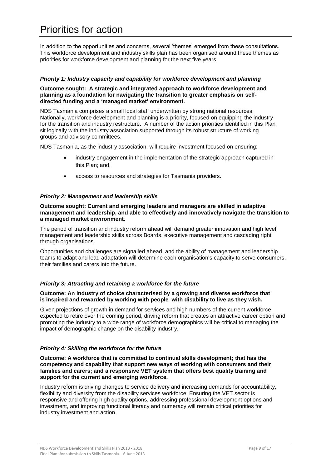<span id="page-11-0"></span>In addition to the opportunities and concerns, several 'themes' emerged from these consultations. This workforce development and industry skills plan has been organised around these themes as priorities for workforce development and planning for the next five years.

#### *Priority 1: Industry capacity and capability for workforce development and planning*

#### **Outcome sought: A strategic and integrated approach to workforce development and planning as a foundation for navigating the transition to greater emphasis on selfdirected funding and a 'managed market' environment.**

NDS Tasmania comprises a small local staff underwritten by strong national resources. Nationally, workforce development and planning is a priority, focused on equipping the industry for the transition and industry restructure. A number of the action priorities identified in this Plan sit logically with the industry association supported through its robust structure of working groups and advisory committees.

NDS Tasmania, as the industry association, will require investment focused on ensuring:

- industry engagement in the implementation of the strategic approach captured in this Plan; and,
- access to resources and strategies for Tasmania providers.

#### *Priority 2: Management and leadership skills*

#### **Outcome sought: Current and emerging leaders and managers are skilled in adaptive management and leadership, and able to effectively and innovatively navigate the transition to a managed market environment.**

The period of transition and industry reform ahead will demand greater innovation and high level management and leadership skills across Boards, executive management and cascading right through organisations.

Opportunities and challenges are signalled ahead, and the ability of management and leadership teams to adapt and lead adaptation will determine each organisation's capacity to serve consumers, their families and carers into the future.

#### *Priority 3: Attracting and retaining a workforce for the future*

#### **Outcome: An industry of choice characterised by a growing and diverse workforce that is inspired and rewarded by working with people with disability to live as they wish.**

Given projections of growth in demand for services and high numbers of the current workforce expected to retire over the coming period, driving reform that creates an attractive career option and promoting the industry to a wide range of workforce demographics will be critical to managing the impact of demographic change on the disability industry.

#### *Priority 4: Skilling the workforce for the future*

#### **Outcome: A workforce that is committed to continual skills development; that has the competency and capability that support new ways of working with consumers and their families and carers; and a responsive VET system that offers best quality training and support for the current and emerging workforce.**

Industry reform is driving changes to service delivery and increasing demands for accountability, flexibility and diversity from the disability services workforce. Ensuring the VET sector is responsive and offering high quality options, addressing professional development options and investment, and improving functional literacy and numeracy will remain critical priorities for industry investment and action.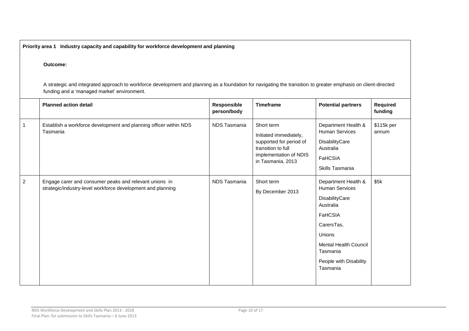**Priority area 1 Industry capacity and capability for workforce development and planning**

#### **Outcome:**

A strategic and integrated approach to workforce development and planning as a foundation for navigating the transition to greater emphasis on client-directed funding and a 'managed market' environment.

|                | <b>Planned action detail</b>                                                                                          | Responsible<br>person/body | <b>Timeframe</b>                                                                                                                     | <b>Potential partners</b>                                                                                                                                                                        | Required<br>funding |
|----------------|-----------------------------------------------------------------------------------------------------------------------|----------------------------|--------------------------------------------------------------------------------------------------------------------------------------|--------------------------------------------------------------------------------------------------------------------------------------------------------------------------------------------------|---------------------|
| -1             | Establish a workforce development and planning officer within NDS<br>Tasmania                                         | NDS Tasmania               | Short term<br>Initiated immediately,<br>supported for period of<br>transition to full<br>implementation of NDIS<br>in Tasmania, 2013 | Department Health &<br><b>Human Services</b><br>DisabilityCare<br>Australia<br><b>FaHCSIA</b><br>Skills Tasmania                                                                                 | \$115k per<br>annum |
| $\overline{2}$ | Engage carer and consumer peaks and relevant unions in<br>strategic/industry-level workforce development and planning | NDS Tasmania               | Short term<br>By December 2013                                                                                                       | Department Health &<br><b>Human Services</b><br>DisabilityCare<br>Australia<br>FaHCSIA<br>CarersTas,<br>Unions<br><b>Mental Health Council</b><br>Tasmania<br>People with Disability<br>Tasmania | \$5k                |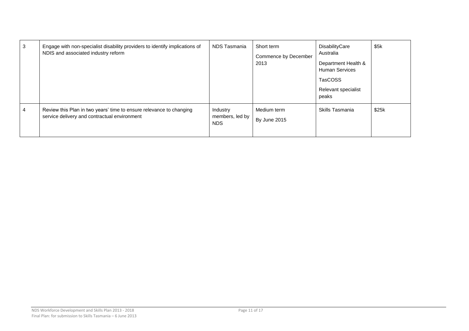| 3 | Engage with non-specialist disability providers to identify implications of<br>NDIS and associated industry reform  | NDS Tasmania                        | Short term<br>Commence by December<br>2013 | DisabilityCare<br>Australia<br>Department Health &<br><b>Human Services</b><br>TasCOSS<br>Relevant specialist<br>peaks | \$5k  |
|---|---------------------------------------------------------------------------------------------------------------------|-------------------------------------|--------------------------------------------|------------------------------------------------------------------------------------------------------------------------|-------|
| 4 | Review this Plan in two years' time to ensure relevance to changing<br>service delivery and contractual environment | Industry<br>members, led by<br>NDS. | Medium term<br>By June 2015                | Skills Tasmania                                                                                                        | \$25k |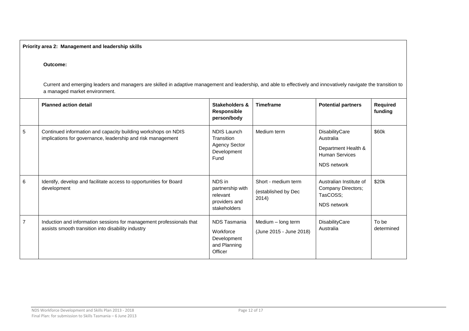#### **Priority area 2: Management and leadership skills**

#### **Outcome:**

Current and emerging leaders and managers are skilled in adaptive management and leadership, and able to effectively and innovatively navigate the transition to a managed market environment.

|                | <b>Planned action detail</b>                                                                                                 | <b>Stakeholders &amp;</b><br><b>Responsible</b><br>person/body           | <b>Timeframe</b>                                    | <b>Potential partners</b>                                                                         | <b>Required</b><br>funding |
|----------------|------------------------------------------------------------------------------------------------------------------------------|--------------------------------------------------------------------------|-----------------------------------------------------|---------------------------------------------------------------------------------------------------|----------------------------|
| 5              | Continued information and capacity building workshops on NDIS<br>implications for governance, leadership and risk management | NDIS Launch<br>Transition<br><b>Agency Sector</b><br>Development<br>Fund | Medium term                                         | <b>DisabilityCare</b><br>Australia<br>Department Health &<br><b>Human Services</b><br>NDS network | \$60k                      |
| 6              | Identify, develop and facilitate access to opportunities for Board<br>development                                            | NDS in<br>partnership with<br>relevant<br>providers and<br>stakeholders  | Short - medium term<br>(established by Dec<br>2014) | Australian Institute of<br>Company Directors;<br>TasCOSS;<br>NDS network                          | \$20k                      |
| $\overline{7}$ | Induction and information sessions for management professionals that<br>assists smooth transition into disability industry   | NDS Tasmania<br>Workforce<br>Development<br>and Planning<br>Officer      | Medium - long term<br>(June 2015 - June 2018)       | DisabilityCare<br>Australia                                                                       | To be<br>determined        |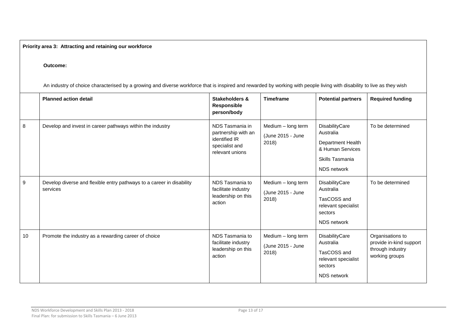**Priority area 3: Attracting and retaining our workforce**

#### **Outcome:**

An industry of choice characterised by a growing and diverse workforce that is inspired and rewarded by working with people living with disability to live as they wish

|    | <b>Planned action detail</b>                                                      | <b>Stakeholders &amp;</b><br>Responsible<br>person/body                                      | <b>Timeframe</b>                                 | <b>Potential partners</b>                                                                              | <b>Required funding</b>                                                           |
|----|-----------------------------------------------------------------------------------|----------------------------------------------------------------------------------------------|--------------------------------------------------|--------------------------------------------------------------------------------------------------------|-----------------------------------------------------------------------------------|
| 8  | Develop and invest in career pathways within the industry                         | NDS Tasmania in<br>partnership with an<br>identified IR<br>specialist and<br>relevant unions | Medium - long term<br>(June 2015 - June<br>2018) | DisabilityCare<br>Australia<br>Department Health<br>& Human Services<br>Skills Tasmania<br>NDS network | To be determined                                                                  |
| 9  | Develop diverse and flexible entry pathways to a career in disability<br>services | NDS Tasmania to<br>facilitate industry<br>leadership on this<br>action                       | Medium - long term<br>(June 2015 - June<br>2018) | DisabilityCare<br>Australia<br>TasCOSS and<br>relevant specialist<br>sectors<br><b>NDS</b> network     | To be determined                                                                  |
| 10 | Promote the industry as a rewarding career of choice                              | NDS Tasmania to<br>facilitate industry<br>leadership on this<br>action                       | Medium - long term<br>(June 2015 - June<br>2018) | DisabilityCare<br>Australia<br>TasCOSS and<br>relevant specialist<br>sectors<br>NDS network            | Organisations to<br>provide in-kind support<br>through industry<br>working groups |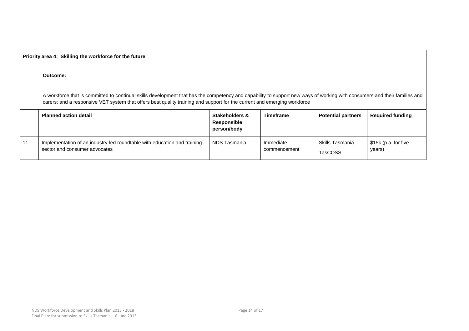|    | Priority area 4: Skilling the workforce for the future                                                                                                                                                                                                                                                |                                              |                           |                                   |                                |  |  |
|----|-------------------------------------------------------------------------------------------------------------------------------------------------------------------------------------------------------------------------------------------------------------------------------------------------------|----------------------------------------------|---------------------------|-----------------------------------|--------------------------------|--|--|
|    | Outcome:                                                                                                                                                                                                                                                                                              |                                              |                           |                                   |                                |  |  |
|    | A workforce that is committed to continual skills development that has the competency and capability to support new ways of working with consumers and their families and<br>carers; and a responsive VET system that offers best quality training and support for the current and emerging workforce |                                              |                           |                                   |                                |  |  |
|    | <b>Planned action detail</b>                                                                                                                                                                                                                                                                          | Stakeholders &<br>Responsible<br>person/body | <b>Timeframe</b>          | <b>Potential partners</b>         | <b>Required funding</b>        |  |  |
| 11 | Implementation of an industry-led roundtable with education and training<br>sector and consumer advocates                                                                                                                                                                                             | NDS Tasmania                                 | Immediate<br>commencement | Skills Tasmania<br><b>TasCOSS</b> | \$15k (p.a. for five<br>years) |  |  |

 $\Box$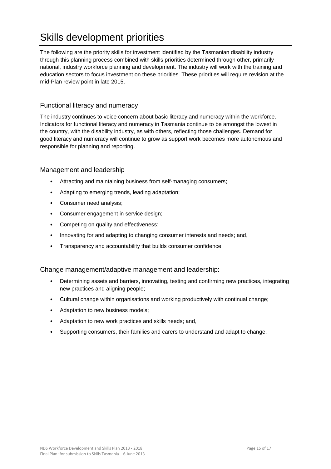# <span id="page-17-0"></span>Skills development priorities

The following are the priority skills for investment identified by the Tasmanian disability industry through this planning process combined with skills priorities determined through other, primarily national, industry workforce planning and development. The industry will work with the training and education sectors to focus investment on these priorities. These priorities will require revision at the mid-Plan review point in late 2015.

## Functional literacy and numeracy

The industry continues to voice concern about basic literacy and numeracy within the workforce. Indicators for functional literacy and numeracy in Tasmania continue to be amongst the lowest in the country, with the disability industry, as with others, reflecting those challenges. Demand for good literacy and numeracy will continue to grow as support work becomes more autonomous and responsible for planning and reporting.

### Management and leadership

- Attracting and maintaining business from self-managing consumers;
- Adapting to emerging trends, leading adaptation;
- Consumer need analysis;
- Consumer engagement in service design;
- Competing on quality and effectiveness;
- Innovating for and adapting to changing consumer interests and needs; and,
- Transparency and accountability that builds consumer confidence.

#### Change management/adaptive management and leadership:

- Determining assets and barriers, innovating, testing and confirming new practices, integrating new practices and aligning people;
- Cultural change within organisations and working productively with continual change;
- Adaptation to new business models;
- Adaptation to new work practices and skills needs; and,
- Supporting consumers, their families and carers to understand and adapt to change.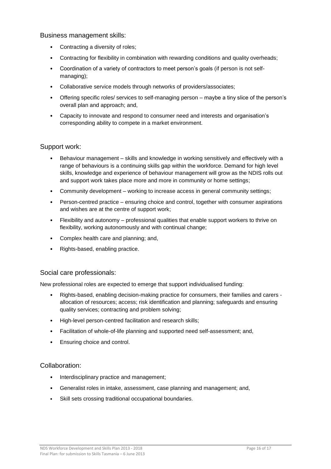#### Business management skills:

- Contracting a diversity of roles;
- Contracting for flexibility in combination with rewarding conditions and quality overheads;
- Coordination of a variety of contractors to meet person's goals (if person is not selfmanaging);
- Collaborative service models through networks of providers/associates;
- Offering specific roles/ services to self-managing person maybe a tiny slice of the person's overall plan and approach; and,
- Capacity to innovate and respond to consumer need and interests and organisation's corresponding ability to compete in a market environment.

#### Support work:

- Behaviour management skills and knowledge in working sensitively and effectively with a range of behaviours is a continuing skills gap within the workforce. Demand for high level skills, knowledge and experience of behaviour management will grow as the NDIS rolls out and support work takes place more and more in community or home settings;
- Community development working to increase access in general community settings;
- Person-centred practice ensuring choice and control, together with consumer aspirations and wishes are at the centre of support work;
- Flexibility and autonomy professional qualities that enable support workers to thrive on flexibility, working autonomously and with continual change;
- Complex health care and planning; and,
- Rights-based, enabling practice.

#### Social care professionals:

New professional roles are expected to emerge that support individualised funding:

- Rights-based, enabling decision-making practice for consumers, their families and carers allocation of resources; access; risk identification and planning; safeguards and ensuring quality services; contracting and problem solving;
- High-level person-centred facilitation and research skills;
- Facilitation of whole-of-life planning and supported need self-assessment; and,
- Ensuring choice and control.

#### Collaboration:

- Interdisciplinary practice and management;
- Generalist roles in intake, assessment, case planning and management; and,
- Skill sets crossing traditional occupational boundaries.